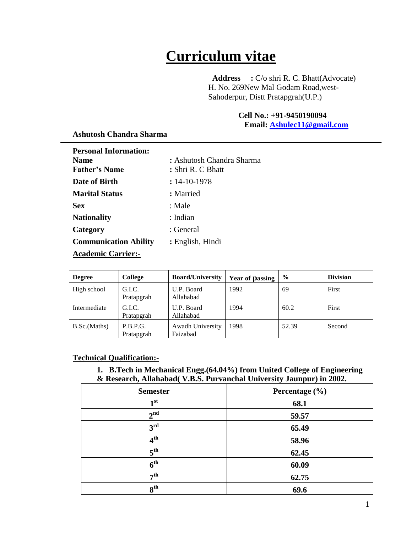# **Curriculum vitae**

 **Address :** C/o shri R. C. Bhatt(Advocate) H. No. 269New Mal Godam Road,west-Sahoderpur, Distt Pratapgrah(U.P.)

## **Cell No.: +91-9450190094**

 **Email: [Ashulec11@gmail.com](mailto:Ashulec11@gmail.com)**

| <b>Personal Information:</b> |                           |
|------------------------------|---------------------------|
| <b>Name</b>                  | : Ashutosh Chandra Sharma |
| <b>Father's Name</b>         | : Shri R. C Bhatt         |
| Date of Birth                | $: 14 - 10 - 1978$        |
| <b>Marital Status</b>        | : Married                 |
| <b>Sex</b>                   | : Male                    |
| <b>Nationality</b>           | : Indian                  |
| Category                     | : General                 |
| <b>Communication Ability</b> | : English, Hindi          |
| <b>Academic Carrier:-</b>    |                           |

#### **Ashutosh Chandra Sharma**

| High school  | G.I.C.<br>Pratapgrah   | U.P. Board<br>Allahabad      | 1992 | 69    | First  |
|--------------|------------------------|------------------------------|------|-------|--------|
| Intermediate | G.I.C.<br>Pratapgrah   | U.P. Board<br>Allahabad      | 1994 | 60.2  | First  |
| B.Sc.(Maths) | P.B.P.G.<br>Pratapgrah | Awadh University<br>Faizabad | 1998 | 52.39 | Second |

**Degree College Board/University Year of passing**  $\%$  **Division** 

### **Technical Qualification:-**

#### **1. B.Tech in Mechanical Engg.(64.04%) from United College of Engineering & Research, Allahabad( V.B.S. Purvanchal University Jaunpur) in 2002.**

| <b>Semester</b> | Percentage (%) |
|-----------------|----------------|
| 1 <sup>st</sup> | 68.1           |
| 2 <sup>nd</sup> | 59.57          |
| $3^{\text{rd}}$ | 65.49          |
| 4 <sup>th</sup> | 58.96          |
| 5 <sup>th</sup> | 62.45          |
| 6 <sup>th</sup> | 60.09          |
| 7 <sup>th</sup> | 62.75          |
| 8 <sup>th</sup> | 69.6           |